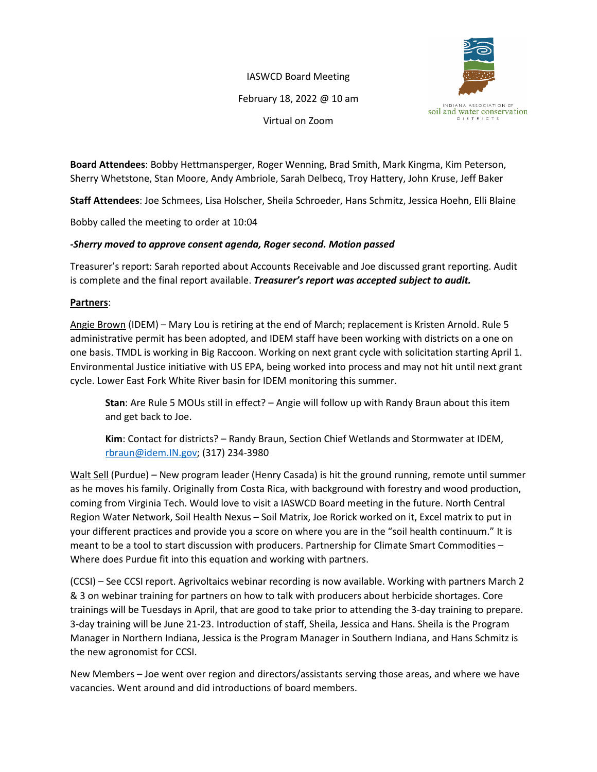IASWCD Board Meeting February 18, 2022 @ 10 am Virtual on Zoom



**Board Attendees**: Bobby Hettmansperger, Roger Wenning, Brad Smith, Mark Kingma, Kim Peterson, Sherry Whetstone, Stan Moore, Andy Ambriole, Sarah Delbecq, Troy Hattery, John Kruse, Jeff Baker

**Staff Attendees**: Joe Schmees, Lisa Holscher, Sheila Schroeder, Hans Schmitz, Jessica Hoehn, Elli Blaine

Bobby called the meeting to order at 10:04

## *-Sherry moved to approve consent agenda, Roger second. Motion passed*

Treasurer's report: Sarah reported about Accounts Receivable and Joe discussed grant reporting. Audit is complete and the final report available. *Treasurer's report was accepted subject to audit.*

## **Partners**:

Angie Brown (IDEM) – Mary Lou is retiring at the end of March; replacement is Kristen Arnold. Rule 5 administrative permit has been adopted, and IDEM staff have been working with districts on a one on one basis. TMDL is working in Big Raccoon. Working on next grant cycle with solicitation starting April 1. Environmental Justice initiative with US EPA, being worked into process and may not hit until next grant cycle. Lower East Fork White River basin for IDEM monitoring this summer.

**Stan**: Are Rule 5 MOUs still in effect? – Angie will follow up with Randy Braun about this item and get back to Joe.

**Kim**: Contact for districts? – Randy Braun, Section Chief Wetlands and Stormwater at IDEM, [rbraun@idem.IN.gov;](mailto:rbraun@idem.IN.gov) (317) 234-3980

Walt Sell (Purdue) – New program leader (Henry Casada) is hit the ground running, remote until summer as he moves his family. Originally from Costa Rica, with background with forestry and wood production, coming from Virginia Tech. Would love to visit a IASWCD Board meeting in the future. North Central Region Water Network, Soil Health Nexus – Soil Matrix, Joe Rorick worked on it, Excel matrix to put in your different practices and provide you a score on where you are in the "soil health continuum." It is meant to be a tool to start discussion with producers. Partnership for Climate Smart Commodities – Where does Purdue fit into this equation and working with partners.

(CCSI) – See CCSI report. Agrivoltaics webinar recording is now available. Working with partners March 2 & 3 on webinar training for partners on how to talk with producers about herbicide shortages. Core trainings will be Tuesdays in April, that are good to take prior to attending the 3-day training to prepare. 3-day training will be June 21-23. Introduction of staff, Sheila, Jessica and Hans. Sheila is the Program Manager in Northern Indiana, Jessica is the Program Manager in Southern Indiana, and Hans Schmitz is the new agronomist for CCSI.

New Members – Joe went over region and directors/assistants serving those areas, and where we have vacancies. Went around and did introductions of board members.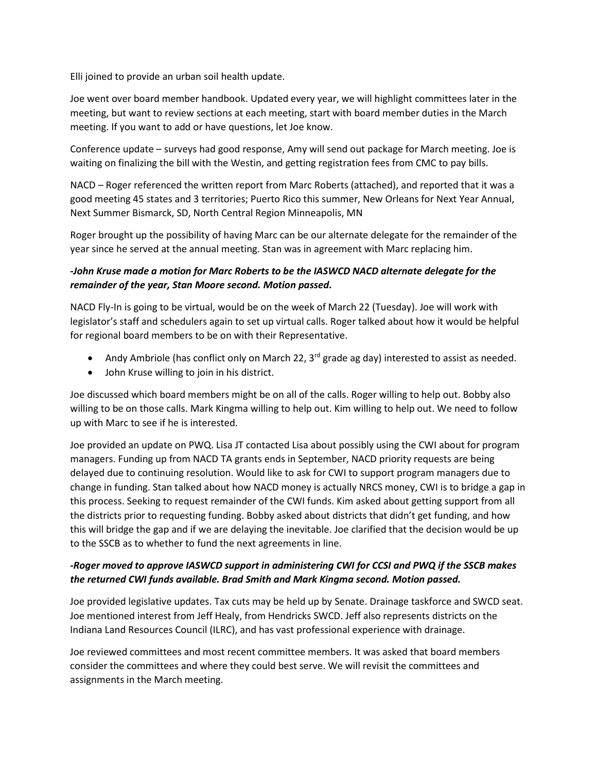Elli joined to provide an urban soil health update.

Joe went over board member handbook. Updated every year, we will highlight committees later in the meeting, but want to review sections at each meeting, start with board member duties in the March meeting. If you want to add or have questions, let Joe know.

Conference update – surveys had good response, Amy will send out package for March meeting. Joe is waiting on finalizing the bill with the Westin, and getting registration fees from CMC to pay bills.

NACD – Roger referenced the written report from Marc Roberts (attached), and reported that it was a good meeting 45 states and 3 territories; Puerto Rico this summer, New Orleans for Next Year Annual, Next Summer Bismarck, SD, North Central Region Minneapolis, MN

Roger brought up the possibility of having Marc can be our alternate delegate for the remainder of the year since he served at the annual meeting. Stan was in agreement with Marc replacing him.

## *-John Kruse made a motion for Marc Roberts to be the IASWCD NACD alternate delegate for the remainder of the year, Stan Moore second. Motion passed.*

NACD Fly-In is going to be virtual, would be on the week of March 22 (Tuesday). Joe will work with legislator's staff and schedulers again to set up virtual calls. Roger talked about how it would be helpful for regional board members to be on with their Representative.

- Andy Ambriole (has conflict only on March 22,  $3^{rd}$  grade ag day) interested to assist as needed.
- John Kruse willing to join in his district.

Joe discussed which board members might be on all of the calls. Roger willing to help out. Bobby also willing to be on those calls. Mark Kingma willing to help out. Kim willing to help out. We need to follow up with Marc to see if he is interested.

Joe provided an update on PWQ. Lisa JT contacted Lisa about possibly using the CWI about for program managers. Funding up from NACD TA grants ends in September, NACD priority requests are being delayed due to continuing resolution. Would like to ask for CWI to support program managers due to change in funding. Stan talked about how NACD money is actually NRCS money, CWI is to bridge a gap in this process. Seeking to request remainder of the CWI funds. Kim asked about getting support from all the districts prior to requesting funding. Bobby asked about districts that didn't get funding, and how this will bridge the gap and if we are delaying the inevitable. Joe clarified that the decision would be up to the SSCB as to whether to fund the next agreements in line.

## *-Roger moved to approve IASWCD support in administering CWI for CCSI and PWQ if the SSCB makes the returned CWI funds available. Brad Smith and Mark Kingma second. Motion passed.*

Joe provided legislative updates. Tax cuts may be held up by Senate. Drainage taskforce and SWCD seat. Joe mentioned interest from Jeff Healy, from Hendricks SWCD. Jeff also represents districts on the Indiana Land Resources Council (ILRC), and has vast professional experience with drainage.

Joe reviewed committees and most recent committee members. It was asked that board members consider the committees and where they could best serve. We will revisit the committees and assignments in the March meeting.